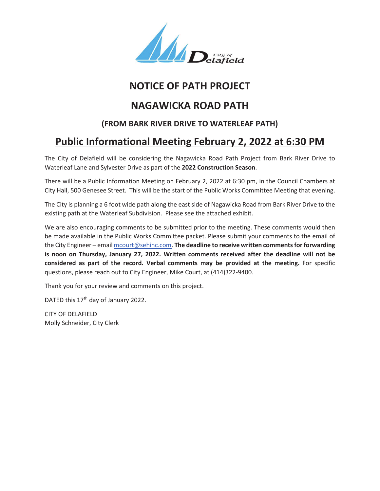

## **NOTICE OF PATH PROJECT**

## **NAGAWICKA ROAD PATH**

## **(FROM BARK RIVER DRIVE TO WATERLEAF PATH)**

## **Public Informational Meeting February 2, 2022 at 6:30 PM**

The City of Delafield will be considering the Nagawicka Road Path Project from Bark River Drive to Waterleaf Lane and Sylvester Drive as part of the **2022 Construction Season**.

There will be a Public Information Meeting on February 2, 2022 at 6:30 pm, in the Council Chambers at City Hall, 500 Genesee Street. This will be the start of the Public Works Committee Meeting that evening.

The City is planning a 6 foot wide path along the east side of Nagawicka Road from Bark River Drive to the existing path at the Waterleaf Subdivision. Please see the attached exhibit.

We are also encouraging comments to be submitted prior to the meeting. These comments would then be made available in the Public Works Committee packet. Please submit your comments to the email of the City Engineer – email mcourt@sehinc.com. **The deadline to receive written comments for forwarding is noon on Thursday, January 27, 2022. Written comments received after the deadline will not be considered as part of the record. Verbal comments may be provided at the meeting.** For specific questions, please reach out to City Engineer, Mike Court, at (414)322-9400.

Thank you for your review and comments on this project.

DATED this 17<sup>th</sup> day of January 2022.

CITY OF DELAFIELD Molly Schneider, City Clerk